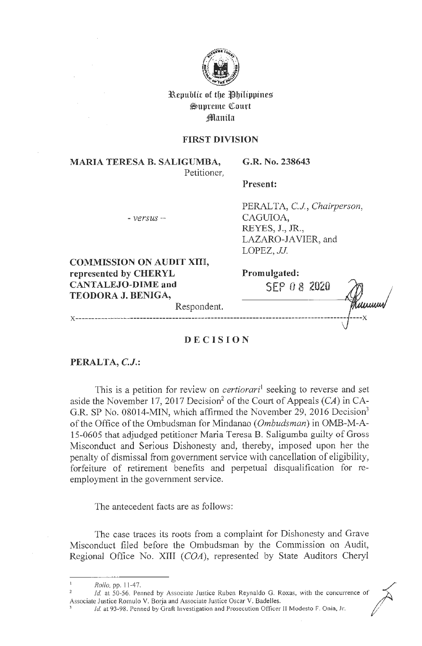

**3Republic of tbe flbilippines**   $\mathfrak{S}$ upreme Court **jlllanila** 

### **FIRST DIVISION**

**MARIA TERESA B. SALIGUMBA,**  Petitioner, **G.R. No. 238643** 

**Present:** 

 $- *versus* -$ 

PERALTA, C.J., *Chairperson*, CAGUIOA, REYES, **J.,** JR., LAZARO-IA VIER, and LOPEZ, *JJ.* 

**COMMISSION ON AUDIT XIU, represented by CHERYL CANTALEJO-DIME and TEODORA J. BENIGA,** 

**Promulgated: SEP O 8 2020**  <u>iuuum</u> Respondent. **x ------------------------------------------------------------------------------------ ----x** 

## **DECISION**

## **PERALTA, C.J.:**

This is a petition for review on *certiorari'* seeking to reverse and set aside the November 17, 2017 Decision<sup>2</sup> of the Court of Appeals  $(CA)$  in CA-G.R. SP No. 08014-MIN, which affirmed the November 29, 2016 Decision<sup>3</sup> of the Office of the Ombudsman for Mindanao *(Ombudsman)* in OMB-M-A-15-0605 that adjudged petitioner Maria Teresa B. Saligumba guilty of Gross Misconduct and Serious Dishonesty and, thereby, imposed upon her the penalty of dismissal from government service with cancellation of eligibility, forfeiture of retirement benefits and perpetual disqualification for reemployment in the government service.

The antecedent facts are as follows:

The case traces its roots from a complaint for Dishonesty and Grave Misconduct filed before the Ombudsman by the Commission on Audit, Regional Office No. XIII (COA), represented by State Auditors Cheryl  $\angle$ 

1

*Rollo ,*  11-47.

<sup>&</sup>lt;sup>2</sup> *Rollo*, pp. 11-47.<br><sup>2</sup> *Id.* at 50-56. Penned by Associate Justice Ruben Reynaldo G. Roxas, with the concurrence of Associate Justice Romulo V. Borja and Associate Justice Oscar V. Badelles.<br><sup>3</sup> *Id.* at 93-98. Penned by Graft Investigation and Prosecution Officer II Modesto F. Onia, Jr.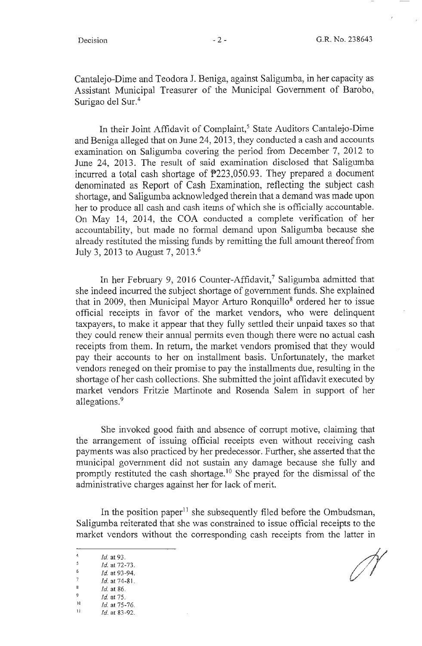Cantalejo-Dime and Teodora J. Beniga, against Saligumba, in her capacity as Assistant Municipal Treasurer of the Municipal Government of Barobo, Surigao del Sur.<sup>4</sup>

In their Joint Affidavit of Complaint,<sup>5</sup> State Auditors Cantalejo-Dime and Beniga alleged that on June 24, 2013, they conducted a cash and accounts examination on Saligumba covering the period from December 7, 2012 to June 24, 2013. The result of said examination disclosed that Saligumba incurred a total cash shortage of P223,050.93. They prepared a document denominated as Report of Cash Examination, reflecting the subject cash shortage, and Saligumba acknowledged therein that a demand was made upon her to produce all cash and cash items of which she is officially accountable. On May 14, 2014, the COA conducted a complete verification of her accountability, but made no formal demand upon Saligumba because she already restituted the missing funds by remitting the full amount thereof from July 3, 2013 to August 7, 2013.<sup>6</sup>

In her February 9, 2016 Counter-Affidavit,<sup>7</sup> Saligumba admitted that she indeed incurred the subject shortage of government funds. She explained that in 2009, then Municipal Mayor Arturo Ronquillo<sup>8</sup> ordered her to issue official receipts in favor of the market vendors, who were delinquent taxpayers, to make it appear that they fully settled their unpaid taxes so that they could renew their annual permits even though there were no actual cash receipts from them. In return, the market vendors promised that they would pay their accounts to her on installment basis. Unfortunately, the market vendors reneged on their promise to pay the installments due, resulting in the shortage of her cash collections. She submitted the joint affidavit executed by market vendors Fritzie Martinote and Rosenda Salem in support of her allegations.<sup>9</sup>

She invoked good faith and absence of corrupt motive, claiming that the arrangement of issuing official receipts even without receiving cash payments was also practiced by her predecessor. Further, she asserted that the municipal government did not sustain any damage because she fully and promptly restituted the cash shortage.<sup>10</sup> She prayed for the dismissal of the administrative charges against her for lack of merit.

In the position paper $11$  she subsequently filed before the Ombudsman, Saligumba reiterated that she was constrained to issue official receipts to the market vendors without the corresponding cash receipts from the latter in

7 *Id.*  at 93 -94.

 $\frac{1}{4}$ .

 $\frac{4}{5}$  *Id.* at 93.

<sup>6</sup>  *Id.*  at 72-73.

<sup>8</sup>  *Id.*  at 74-8

<sup>9</sup>  *Id.*  at 86.

*Id.*  at 75.

<sup>10</sup> *Id.* at 75-76.<br> *Id.* at 83-92.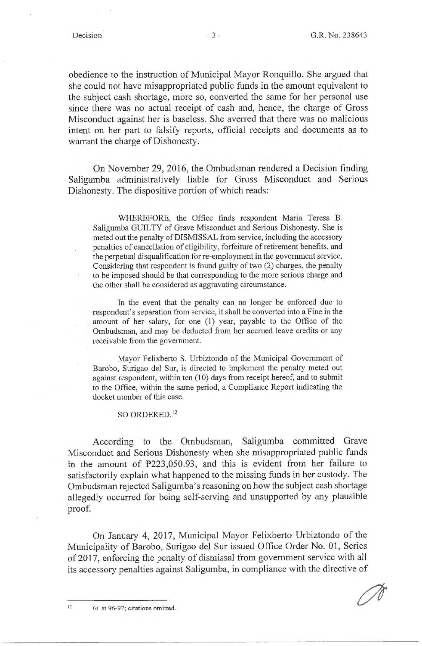obedience to the instruction of Municipal Mayor Ronquillo. She argued that she could not have misappropriated public funds in the amount equivalent to the subject cash shortage, more so, converted the same for her personal use since there was no actual receipt of cash and, hence, the charge of Gross Misconduct against her is baseless. She averred that there was no malicious intent on her part to falsify reports, official receipts and documents as to warrant the charge of Dishonesty.

On November 29, 2016, the Ombudsman rendered a Decision finding Saligumba administratively liable for Gross Misconduct and Serious Dishonesty. The dispositive portion of which reads:

WHEREFORE, the Office finds respondent Maria Teresa B. Saligumba GUILTY of Grave Misconduct and Serious Dishonesty. She is meted out the penalty of DISMISSAL from service, including the accessory penalties of cancellation of eligibility, forfeiture of retirement benefits, and the perpetual disqualification for re-employment in the government service. Considering that respondent is found guilty of two (2) charges, the penalty to be imposed should be that corresponding to the more serious charge and the other shall be considered as aggravating circumstance.

In the event that the penalty can no longer be enforced due to respondent's separation from service, it shall be converted into a Fine in the amount of her salary, for one (1) year, payable to the Office of the Ombudsman, and may be deducted from her accrued leave credits or any receivable from the government.

Mayor Felixberto S. Urbiztondo of the Municipal Government of Barobo, Surigao del Sur, is directed to implement the penalty meted out against respondent, within ten (10) days from receipt hereof, and to submit to the Office, within the same period, a Compliance Report indicating the docket nwnber of this case.

SO ORDERED.<sup>12</sup>

According to the Ombudsman, Saligumba committed Grave Misconduct and Serious Dishonesty when she misappropriated public funds in the amount of  $P223,050.93$ , and this is evident from her failure to satisfactorily explain what happened to the missing funds in her custody. The Ombudsman rejected Saligumba's reasoning on how the subject cash shortage allegedly occurred for being self-serving and unsupported by any plausible proof.

On January 4, 2017, Municipal Mayor Felixberto Urbiztondo of the Municipality of Barobo, Surigao del Sur issued Office Order No. 01, Series of 2017, enforcing the penalty of dismissal from government service with all its accessory penalties against Saligumba, in compliance with the directive of

 $12$  Id. at 96-97; citations omitted.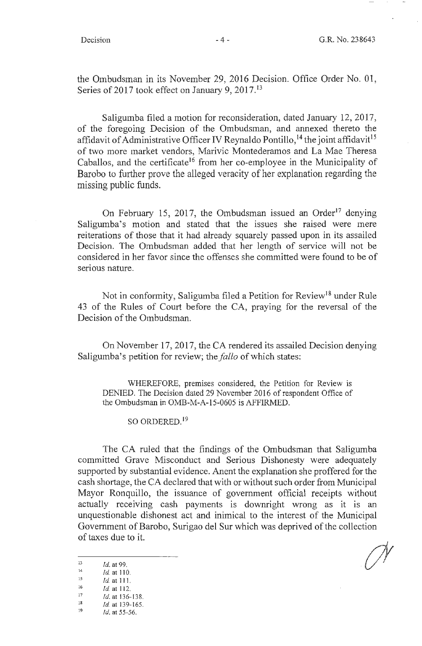the Ombudsman in its November 29, 2016 Decision. Office Order No. 01, Series of 2017 took effect on January 9, 2017.<sup>13</sup>

Saligumba filed a motion for reconsideration, dated January 12, 2017, of the foregoing Decision of the Ombudsman, and annexed thereto the affidavit of Administrative Officer IV Reynaldo Pontillo,  $^{14}$  the joint affidavit<sup>15</sup> of two more market vendors, Marivic Montederamos and La Mae Theresa Caballos, and the certificate<sup>16</sup> from her co-employee in the Municipality of Barobo to further prove the alleged veracity of her explanation regarding the missing public funds.

On February 15, 2017, the Ombudsman issued an Order<sup>17</sup> denying Saligumba's motion and stated that the issues she raised were mere reiterations of those that it had already squarely passed upon in its assailed Decision. The Ombudsman added that her length of service will not be considered in her favor since the offenses she committed were found to be of serious nature.

Not in conformity, Saligumba filed a Petition for Review<sup>18</sup> under Rule 43 of the Rules of Court before the CA, praying for the reversal of the Decision of the Ombudsman.

On November 17, 2017, the CA rendered its assailed Decision denying Saligumba's petition for review; the *fallo* of which states:

WHEREFORE, premises considered, the Petition for Review is DENIED. The Decision dated 29 November 2016 of respondent Office of the Ombudsman in OMB-M-A-15-0605 is AFFIRMED.

SO ORDERED. <sup>19</sup>

The CA ruled that the findings of the Ombudsman that Saligumba committed Grave Misconduct and Serious Dishonesty were adequately supported by substantial evidence. Anent the explanation she proffered for the cash shortage, the CA declared that with or without such order from Municipal Mayor Ronquillo, the issuance of government official receipts without actually receiving cash payments is downright wrong as it is an unquestionable dishonest act and inimical to the interest of the Municipal Government of Barobo, Surigao del Sur which was deprived of the collection of taxes due to it.

Id. at 139-165.

13 Id. at 99.<br>
14 Id. at 110.<br>
15 Id. at 111.<br>
16 Id. at 112.

 $\frac{17}{18}$   $\frac{1}{4}$  at 136-138.

 $19$  Id. at 55-56.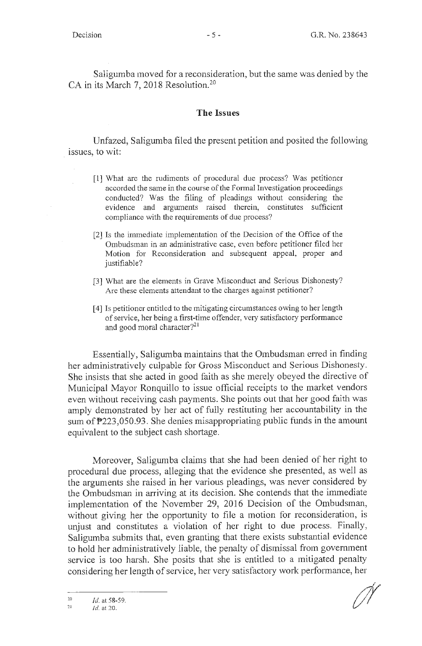Saligumba moved for a reconsideration, but the same was denied by the CA in its March 7, 2018 Resolution.<sup>20</sup>

### **The Issues**

Unfazed, Saligumba filed the present petition and posited the following issues, to wit:

- [l] What are the rudiments of procedural due process? Was petitioner accorded the same in the course of the Formal Investigation proceedings conducted? Was the filing of pleadings without considering the evidence and arguments raised therein, constitutes sufficient compliance with the requirements of due process?
- [2] Is the immediate implementation of the Decision of the Office of the Ombudsman in an administrative case, even before petitioner filed her Motion for Reconsideration and subsequent appeal, proper and justifiable?
- [3] What are the elements in Grave Misconduct and Serious Dishonesty? Are these elements attendant to the charges against petitioner?
- [ 4] Is petitioner entitled to the mitigating circumstances owing to her length of service, her being a first-time offender, very satisfactory performance and good moral character?<sup>21</sup>

Essentially, Saligumba maintains that the Ombudsman erred in finding her administratively culpable for Gross Misconduct and Serious Dishonesty. She insists that she acted in good faith as she merely obeyed the directive of Municipal Mayor Ronquillo to issue official receipts to the market vendors even without receiving cash payments. She points out that her good faith was amply demonstrated by her act of fully restituting her accountability in the sum of P223,050.93 . She denies misappropriating public funds in the amount equivalent to the subject cash shortage.

Moreover, Saligumba claims that she had been denied of her right to procedural due process, alleging that the evidence she presented, as well as the arguments she raised in her various pleadings, was never considered by the Ombudsman in arriving at its decision. She contends that the immediate implementation of the November 29, 2016 Decision of the Ombudsman, without giving her the opportunity to file a motion for reconsideration, is unjust and constitutes a violation of her right to due process. Finally, Saligumba submits that, even granting that there exists substantial evidence to hold her administratively liable, the penalty of dismissal from government service is too harsh. She posits that she is entitled to a mitigated penalty considering her length of service, her very satisfactory work performance, her

<sup>20</sup>  Id. at 58-59.

 $21$ Id. at 20.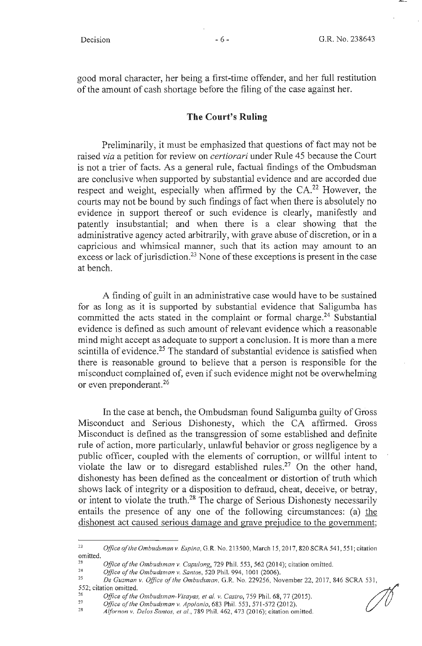good moral character, her being a first-time offender, and her full restitution of the amount of cash shortage before the filing of the case against her.

#### **The Court's Ruling**

Preliminarily, it must be emphasized that questions of fact may not be raised *via* a petition for review on *certiorari* under Rule 45 because the Court is not a trier of facts. As a general rule, factual findings of the Ombudsman are conclusive when supported by substantial evidence and are accorded due respect and weight, especially when affirmed by the CA.<sup>22</sup> However, the courts may not be bound by such findings of fact when there is absolutely no evidence in support thereof or such evidence is clearly, manifestly and patently insubstantial; and when there is a clear showing that the administrative agency acted arbitrarily, with grave abuse of discretion, or in a capricious and whimsical manner, such that its action may amount to an excess or lack of jurisdiction.<sup>23</sup> None of these exceptions is present in the case at bench.

A finding of guilt in an administrative case would have to be sustained for as long as it is supported by substantial evidence that Saligumba has committed the acts stated in the complaint or formal charge.<sup>24</sup> Substantial evidence is defined as such amount of relevant evidence which a reasonable mind might accept as adequate to support a conclusion. It is more than a mere scintilla of evidence.<sup>25</sup> The standard of substantial evidence is satisfied when there is reasonable ground to believe that a person is responsible for the misconduct complained of, even if such evidence might not be overwhelming or even preponderant. 26

In the case at bench, the Ombudsman found Saligumba guilty of Gross Misconduct and Serious Dishonesty, which the CA affirmed. Gross Misconduct is defined as the transgression of some established and definite rule of action, more particularly, unlawful behavior or gross negligence by a public officer, coupled with the elements of corruption, or willful intent to violate the law or to disregard established rules.<sup>27</sup> On the other hand, dishonesty has been defined as the concealment or distortion of truth which shows lack of integrity or a disposition to defraud, cheat, deceive, or betray, or intent to violate the truth.<sup>28</sup> The charge of Serious Dishonesty necessarily entails the presence of any one of the following circumstances: (a) the dishonest act caused serious damage and grave prejudice to the government;

<sup>27</sup> Office of the Ombudsman v. Apolonio, 683 Phil. 553, 571-572 (2012).<br><sup>28</sup> *Alfornon v. Delos Santos, et al.*, 789 Phil. 462, 473 (2016); citation omitted.

 $\mathscr{M}$ 

<sup>&</sup>lt;sup>22</sup> Office of the Ombudsman v. Espina, G.R. No. 213500, March 15, 2017, 820 SCRA 541, 551; citation omitted.

<sup>&</sup>lt;sup>23</sup> Office of the Ombudsman v. Capulong, 729 Phil. 553, 562 (2014); citation omitted.<br><sup>24</sup> *Office of the Ombudsman v. Santos,* 520 Phil. 994, 1001 (2006).<br><sup>25</sup> *De Gyaman v. Office of the Ombudaman* G.B. No. 220256, Nove

<sup>25</sup>*De Guzman v. Office of the Ombudsman,* G.R. No. 229256, November 22, 20 17, 846 SCRA 53 1, 552; citation om itt ed.

<sup>26</sup>  *Office of the Ombudsman-Visayas, et al. v. Castro,* 759 Phil. 68, 77 (2015).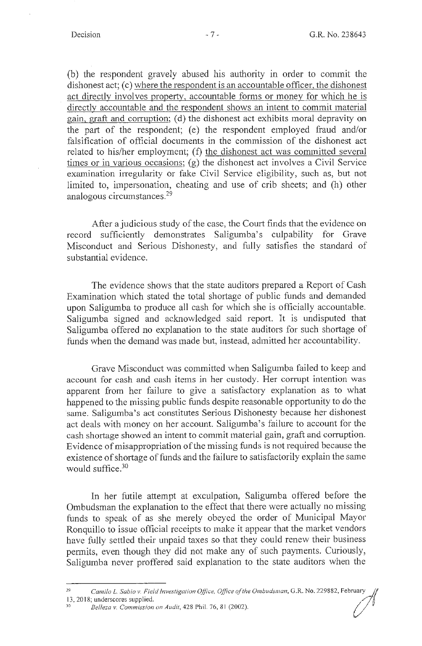(b) the respondent gravely abused his authority in order to commit the dishonest act; (c) where the respondent is an accountable officer, the dishonest act directly involves property, accountable forms or money for which he is directly accountable and the respondent shows an intent to commit material gain, graft and corruption; (d) the dishonest act exhibits moral depravity on the part of the respondent; (e) the respondent employed fraud and/or falsification of official documents in the commission of the dishonest act related to his/her employment; (f) the dishonest act was committed several times or in various occasions; (g) the dishonest act involves a Civil Service examination irregularity or fake Civil Service eligibility, such as, but not limited to, impersonation, cheating and use of crib sheets; and (h) other analogous circumstances. 29

After a judicious study of the case, the Court finds that the evidence on record sufficiently demonstrates Saligumba's culpability for Grave Misconduct and Serious Dishonesty, and fully satisfies the standard of substantial evidence.

The evidence shows that the state auditors prepared a Report of Cash Examination which stated the total shortage of public funds and demanded upon Saligumba to produce all cash for which she is officially accountable. Saligumba signed and acknowledged said report. It is undisputed that Saligumba offered no explanation to the state auditors for such shortage of funds when the demand was made but, instead, admitted her accountability.

Grave Misconduct was committed when Saligumba failed to keep and account for cash and cash items in her custody. Her corrupt intention was apparent from her failure to give a satisfactory explanation as to what happened to the missing public funds despite reasonable opportunity to do the same. Saligumba's act constitutes Serious Dishonesty because her dishonest act deals with money on her account. Saligumba's failure to account for the cash shortage showed an intent to commit material gain, graft and corruption. Evidence of misappropriation of the missing funds is not required because the existence of shortage of funds and the failure to satisfactorily explain the same would suffice. 30

In her futile attempt at exculpation, Saligumba offered before the Ombudsman the explanation to the effect that there were actually no missing funds to speak of as she merely obeyed the order of Municipal Mayor Ronquillo to issue official receipts to make it appear that the market vendors have fully settled their unpaid taxes so that they could renew their business permits, even though they did not make any of such payments. Curiously, Saligumba never proffered said explanation to the state auditors when the

<sup>&</sup>lt;sup>29</sup> *Camilo L. Sabio v. Field Investigation Office, Office of the Ombudsman, G.R. No. 229882, February* 13, 2018; underscores supplied.

<sup>13,</sup> 2018; underscores supplied. 30 *Belleza v. Commission on Audit,* 428 Phil. 76, 8 1 (2002).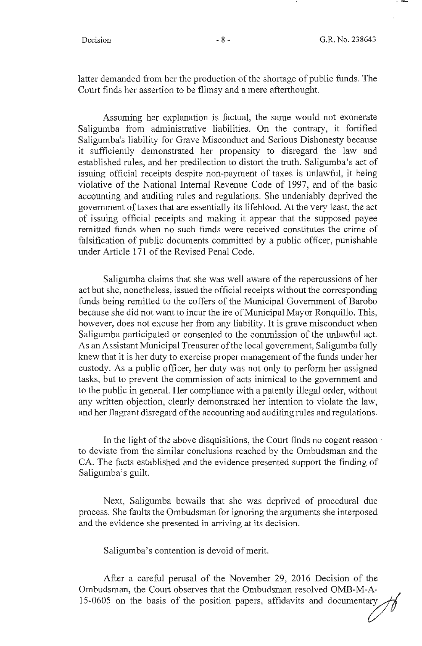latter demanded from her the production of the shortage of public funds. The Court finds her assertion to be flimsy and a mere afterthought.

Assuming her explanation is factual, the same would not exonerate Saligumba from administrative liabilities. On the contrary, it fortified Saligumba's liability for Grave Misconduct and Serious Dishonesty because it sufficiently demonstrated her propensity to disregard the law and established rules, and her predilection to distort the truth. Saligumba's act of issuing official receipts despite non-payment of taxes is unlawful, it being violative of the National Internal Revenue Code of 1997, and of the basic accounting and auditing rules and regulations. She undeniably deprived the government of taxes that are essentially its lifeblood. At the very least, the act of issuing official receipts and making it appear that the supposed payee remitted funds when no such funds were received constitutes the crime of falsification of public documents committed by a public officer, punishable under Article 171 of the Revised Penal Code.

Saligumba claims that she was well aware of the repercussions of her act but she, nonetheless, issued the official receipts without the corresponding funds being remitted to the coffers of the Municipal Government of Barobo because she did not want to incur the ire of Municipal Mayor Ronquillo. This, however, does not excuse her from any liability. It is grave misconduct when Saligumba participated or consented to the commission of the unlawful act. As an Assistant Municipal Treasurer of the local government, Saligumba fully knew that it is her duty to exercise proper management of the funds under her custody. As a public officer, her duty was not only to perform her assigned tasks, but to prevent the commission of acts inimical to the government and to the public in general. Her compliance with a patently illegal order, without any written objection, clearly demonstrated her intention to violate the law, and her flagrant disregard of the accounting and auditing rules and regulations.

In the light of the above disquisitions, the Court finds no cogent reason to deviate from the similar conclusions reached by the Ombudsman and the CA. The facts established and the evidence presented support the finding of Saligumba's guilt.

Next, Saligumba bewails that she was deprived of procedural due process. She faults the Ombudsman for ignoring the arguments she interposed and the evidence she presented in arriving at its decision.

Saligumba's contention is devoid of merit.

After a careful perusal of the November 29, 2016 Decision of the Ombudsman, the Court observes that the Ombudsman resolved OMB-M-A- $15-0605$  on the basis of the position papers, affidavits and documentary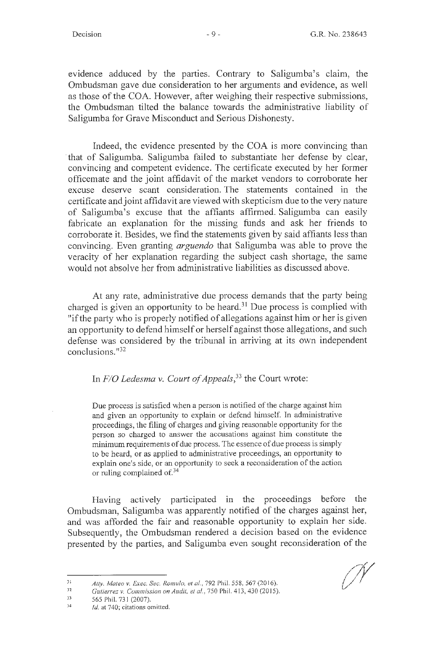evidence adduced by the parties. Contrary to Saligumba's claim, the Ombudsman gave due consideration to her arguments and evidence, as well as those of the COA. However, after weighing their respective submissions, the Ombudsman tilted the balance towards the administrative liability of Saligumba for Grave Misconduct and Serious Dishonesty.

Indeed, the evidence presented by the COA is more convincing than · that of Saligumba. Saligumba failed to substantiate her defense by clear, convincing and competent evidence. The certificate executed by her former officemate and the joint affidavit of the market vendors to corroborate her excuse deserve scant consideration. The statements contained in the certificate and joint affidavit are viewed with skepticism due to the very nature of Saligumba's excuse that the affiants affirmed. Saligumba can easily fabricate an explanation for the missing funds and ask her friends to corroborate it. Besides, we find the statements given by said affiants less than convincing. Even granting *arguendo* that Saligumba was able to prove the veracity of her explanation regarding the subject cash shortage, the same would not absolve her from administrative liabilities as discussed above.

At any rate, administrative due process demands that the party being charged is given an opportunity to be heard.<sup>31</sup> Due process is complied with "if the party who is properly notified of allegations against him or her is given an opportunity to defend himself or herself against those allegations, and such defense was considered by the tribunal in arriving at its own independent conclusions. "32

# In *F/O Ledesma v. Court of Appeals,* 33 the Court wrote:

Due process is satisfied when a person is notified of the charge against him and given an opportunity to explain or defend himself. In administrative proceedings, the filing of charges and giving reasonable opportunity for the person so charged to answer the accusations against him constitute the minimum requirements of due process. The essence of due process is simply to be heard, or as applied to administrative proceedings, an opportunity to explain one's side, or an opportunity to seek a reconsideration of the action or ruling complained of. 34

Having actively participated in the proceedings before the Ombudsman, Saligumba was apparently notified of the charges against her, and was afforded the fair and reasonable opportunity to explain her side. Subsequently, the Ombudsman rendered a decision based on the evidence presented by the parties, and Saligumba even sought reconsideration of the

<sup>3</sup> I *Atty. Mateo v. Exec. Sec. Romulo, et al. ,* 792 Phil. 558,567 (2016).

*n Gutierrez v. Commission on Audit, et al.*, 750 Phil. 413, 430 (2015).

<sup>33</sup>  565 Phil. 731 (2007).

<sup>34</sup>  *Id.* at 740; citations omitted.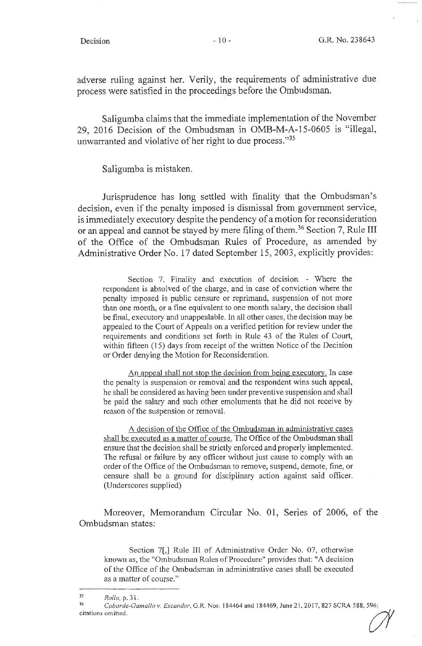adverse ruling against her. Verily, the requirements of administrative due process were satisfied in the proceedings before the Ombudsman.

Saligumba claims that the immediate implementation of the November 29, 2016 Decision of the Ombudsman in OMB-M-A-15-0605 is "illegal, unwarranted and violative of her right to due process."35

Saligumba is mistaken.

Jurisprudence has long settled with finality that the Ombudsman's decision, even if the penalty imposed is dismissal from government service, is immediately executory despite the pendency of a motion for reconsideration or an appeal and cannot be stayed by mere filing of them. 36 Section 7, Rule III of the Office of the Ombudsman Rules of Procedure, as amended by Administrative Order No. 17 dated September 15, 2003, explicitly provides:

Section 7. Finality and execution of decision. - Where the respondent is absolved of the charge, and in case of conviction where the penalty imposed is public censure or reprimand, suspension of not more than one month, or a fine equivalent to one month salary, the decision shall be final, executory and unappealable. In all other cases, the decision may be appealed to the Court of Appeals on a verified petition for review under the requirements and conditions set forth in Rule 43 of the Rules of Court, within fifteen (15) days from receipt of the written Notice of the Decision or Order denying the Motion for Reconsideration.

An appeal shall not stop the decision from being executory. **In** case the penalty is suspension or removal and the respondent wins such appeal, he shall be considered as having been under preventive suspension and shall be paid the salary and such other emoluments that he did not receive by reason of the suspension or removal.

A decision of the Office of the Ombudsman **in** administrative cases shall be executed as a matter of course. The Office of the Ombudsman shall ensure that the decision shall be strictly enforced and properly implemented. The refusal or failure by any officer without just cause to comply with an order of the Office of the Ombudsman to remove, suspend, demote, fine, or censure shall be a ground for disciplinary action against said officer. (Underscores supplied)

Moreover, Memorandum Circular No. 01, Series of 2006, of the Ombudsman states:

Section 7[,] Rule **Ill** of Administrative Order No. 07, otherwise known as, the "Ombudsman Rules of Procedure" provides that: "A decision of the Office of the Ombudsman in administrative cases shall be executed as a matter of course."

<sup>35</sup>*Rollo,* p. 3 I.

<sup>36</sup>*Cobarde-Gamallo v. Escandor,* G.R. Nos. 184464 and 184469, June 2 1, 2017, 827 SCRA 588, 596; Rollo, p. 31.<br>
Cobarde-Gamallo v. Escandor, G.R. Nos. 184464 and 184469, June 21, 2017, 827 SCRA 588, 596;<br>
citations omitted.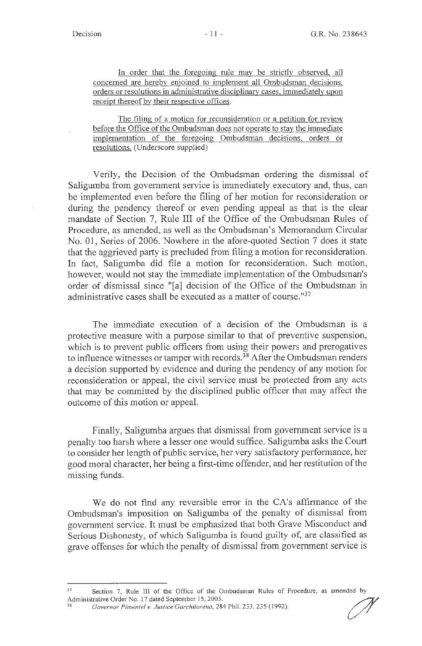. In order that the foregoing rule may be strictly observed, all concerned are hereby enjoined to implement all Ombudsman decisions. orders or resolutions in administrative disciplinary cases, immediately upon receipt thereof by their respective offices.

The filing of a motion for reconsideration or a petition for review before the Office of the Ombudsman does not operate to stay the immediate implementation of the foregoing Ombudsman decisions, orders or resolutions. (Underscore supplied)

Verily, the Decision of the Ombudsman ordering the dismissal of Saligumba from government service is immediately executory and, thus, can be implemented even before the filing of her motion for reconsideration or during the pendency thereof or even pending appeal as that is the clear mandate of Section 7, Rule III of the Office of the Ombudsman Rules of Procedure, as amended, as well as the Ombudsman's Memorandum Circular No. 01, Series of 2006. Nowhere in the afore-quoted Section 7 does it state that the aggrieved party is precluded from filing a motion for reconsideration. In fact, Saligumba did file a motion for reconsideration. Such motion, however, would not stay the immediate implementation of the Ombudsman's order of dismissal since "[a] decision of the Office of the Ombudsman in administrative cases shall be executed as a matter of course."<sup>37</sup>

The immediate execution of a decision of the Ombudsman is a protective measure with a purpose similar to that of preventive suspension, which is to prevent public officers from using their powers and prerogatives to influence witnesses or tamper with records.<sup>38</sup> After the Ombudsman renders a decision supported by evidence and during the pendency of any motion for reconsideration or appeal, the civil service must be protected from any acts that may be committed by the disciplined public officer that may affect the outcome of this motion or appeal.

Finally, Saligumba argues that dismissal from government service is a penalty too harsh where a lesser one would suffice. Saligumba asks the Court to consider her length of public service, her very satisfactory performance, her good moral character, her being a first-time offender, and her restitution of the missing funds.

We do not find any reversible error in the CA's affirmance of the Ombudsman's imposition on Saligumba of the penalty of dismissal from government service. It must be emphasized that both Grave Misconduct and Serious Dishonesty, of which Saligumba is found guilty of, are classified as grave offenses for which the penalty of dismissal from government service is

Section 7, Rule III of the Office of the Ombudsman Rules of Procedure, as amended by Administrative Order No. 17 dated September 15, 2003. Administrative Order No. 17 dated September 15, 2003.<br><sup>38</sup>Governor Pimentel v. Justice Garchitorena, 284 Phil. 233, 235 (1992).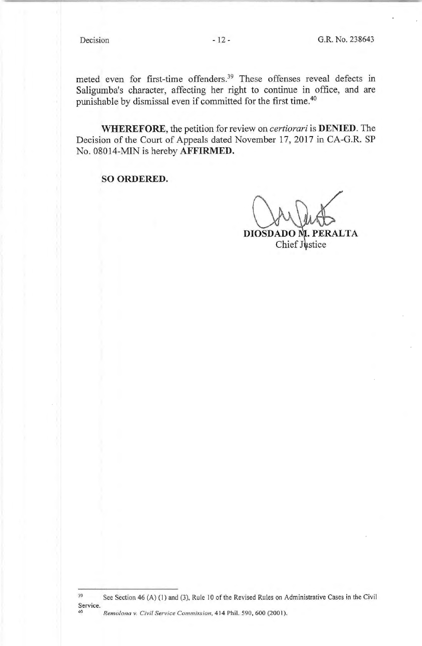meted even for first-time offenders.39 These offenses reveal defects in Saligumba's character, affecting her right to continue in office, and are punishable by dismissal even if committed for the first time.40

**WHEREFORE,** the petition for review on *certiorari* is **DENIED.** The Decision of the Court of Appeals dated November 17, 2017 in CA-G.R. SP No. 08014-MIN is hereby **AFFIRMED.** 

**SO ORDERED.** 

DIOSDADO M. PERALTA Chief Justice

<sup>39</sup>  Service. 40 See Section 46 (A) (1) and (3), Rule IO of the Revised Rules on Administrative Cases in the Civil *Remolona v. Civil Service Commission,* 414 Phil. 590, 600 (2001).